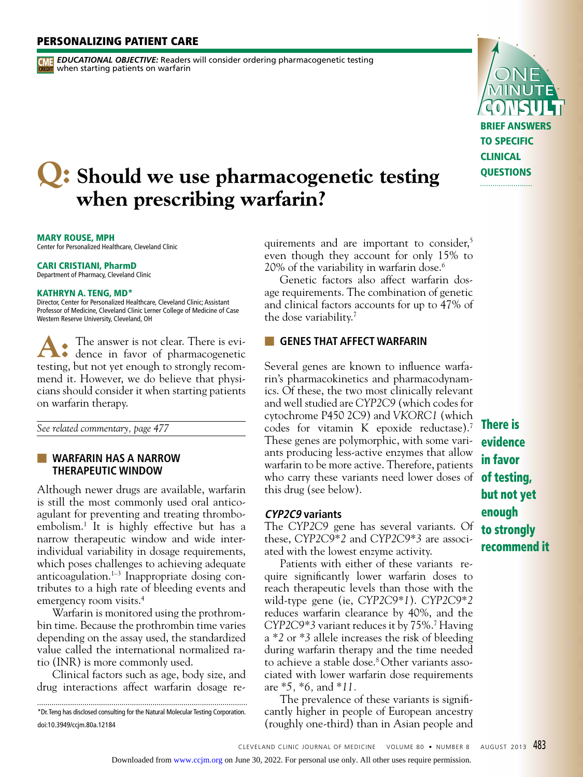# personalizing patient care

*EDUCATIONAL OBJECTIVE:* Readers will consider ordering pharmacogenetic testing **CME EDUCATIONAL UBJECTIVE.** Request<br>**CREDIT** when starting patients on warfarin

# **Q:** Should we use pharmacogenetic testing  **when prescribing warfarin?**

MARY ROUSE, MPH

Center for Personalized Healthcare, Cleveland Clinic

#### CARI CRISTIANI, PharmD Department of Pharmacy, Cleveland Clinic

#### KATHRYN A. TENG, MD\*

Director, Center for Personalized Healthcare, Cleveland Clinic; Assistant Professor of Medicine, Cleveland Clinic Lerner College of Medicine of Case Western Reserve University, Cleveland, OH

The answer is not clear. There is evi- $\bullet$  dence in favor of pharmacogenetic testing, but not yet enough to strongly recommend it. However, we do believe that physicians should consider it when starting patients on warfarin therapy. **A:**

*See related commentary, page 477*

■ **warfarin HAS A NARROW THERAPEUTIC WINDOW**

Although newer drugs are available, warfarin is still the most commonly used oral anticoagulant for preventing and treating thromboembolism.1 It is highly effective but has a narrow therapeutic window and wide interindividual variability in dosage requirements, which poses challenges to achieving adequate anticoagulation.<sup>1-3</sup> Inappropriate dosing contributes to a high rate of bleeding events and emergency room visits.<sup>4</sup>

Warfarin is monitored using the prothrombin time. Because the prothrombin time varies depending on the assay used, the standardized value called the international normalized ratio (INR) is more commonly used.

Clinical factors such as age, body size, and drug interactions affect warfarin dosage re-

\*Dr. Teng has disclosed consulting for the Natural Molecular Testing Corporation. doi:10.3949/ccjm.80a.12184

quirements and are important to consider,<sup>5</sup> even though they account for only 15% to 20% of the variability in warfarin dose.6

Genetic factors also affect warfarin dosage requirements. The combination of genetic and clinical factors accounts for up to 47% of the dose variability.7

### **EXECT WARFARIN**

Several genes are known to influence warfarin's pharmacokinetics and pharmacodynamics. Of these, the two most clinically relevant and well studied are *CYP2C9* (which codes for cytochrome P450 2C9) and *VKORC1* (which codes for vitamin K epoxide reductase).7 These genes are polymorphic, with some variants producing less-active enzymes that allow warfarin to be more active. Therefore, patients who carry these variants need lower doses of **of testing**, this drug (see below).

#### **CYP2C9 variants**

The *CYP2C9* gene has several variants. Of these, *CYP2C9\*2* and *CYP2C9\*3* are associated with the lowest enzyme activity.

Patients with either of these variants require significantly lower warfarin doses to reach therapeutic levels than those with the wild-type gene (ie, *CYP2C9\*1*). *CYP2C9\*2*  reduces warfarin clearance by 40%, and the *CYP2C9\*3* variant reduces it by 75%.7 Having a *\*2* or *\*3* allele increases the risk of bleeding during warfarin therapy and the time needed to achieve a stable dose.<sup>8</sup> Other variants associated with lower warfarin dose requirements are *\*5, \*6,* and *\*11.*

The prevalence of these variants is significantly higher in people of European ancestry (roughly one-third) than in Asian people and There is evidence in favor but not yet enough to strongly recommend it

**BRIEF ANSWE** to specific clinical **OUESTIONS**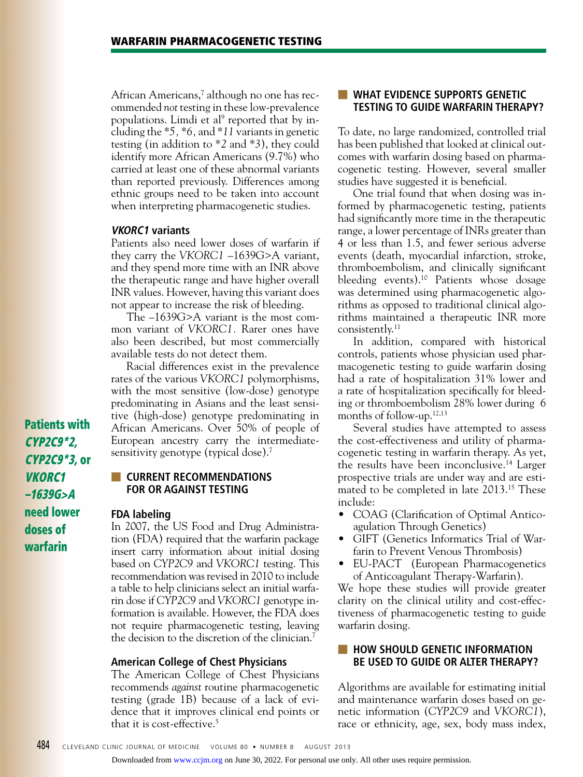African Americans,<sup>7</sup> although no one has recommended *not* testing in these low-prevalence populations. Limdi et al<sup>9</sup> reported that by including the *\*5, \*6,* and *\*11* variants in genetic testing (in addition to *\*2* and *\*3*), they could identify more African Americans (9.7%) who carried at least one of these abnormal variants than reported previously. Differences among ethnic groups need to be taken into account when interpreting pharmacogenetic studies.

#### **VKORC1 variants**

Patients also need lower doses of warfarin if they carry the *VKORC1* –1639G>A variant, and they spend more time with an INR above the therapeutic range and have higher overall INR values. However, having this variant does not appear to increase the risk of bleeding.

The –1639G>A variant is the most common variant of *VKORC1.* Rarer ones have also been described, but most commercially available tests do not detect them.

Racial differences exist in the prevalence rates of the various *VKORC1* polymorphisms, with the most sensitive (low-dose) genotype predominating in Asians and the least sensitive (high-dose) genotype predominating in African Americans. Over 50% of people of European ancestry carry the intermediatesensitivity genotype (typical dose).<sup>7</sup>

# **EXECURRENT RECOMMENDATIONS for or against testing**

#### **FDA labeling**

In 2007, the US Food and Drug Administration (FDA) required that the warfarin package insert carry information about initial dosing based on *CYP2C9* and *VKORC1* testing. This recommendation was revised in 2010 to include a table to help clinicians select an initial warfarin dose if *CYP2C9* and *VKORC1* genotype information is available. However, the FDA does not require pharmacogenetic testing, leaving the decision to the discretion of the clinician.7

#### **American College of Chest Physicians**

The American College of Chest Physicians recommends *against* routine pharmacogenetic testing (grade 1B) because of a lack of evidence that it improves clinical end points or that it is cost-effective.<sup>5</sup>

### ■ **What evidence supportS GENETIC TESTING to guide warfarin therapy?**

To date, no large randomized, controlled trial has been published that looked at clinical outcomes with warfarin dosing based on pharmacogenetic testing. However, several smaller studies have suggested it is beneficial.

One trial found that when dosing was informed by pharmacogenetic testing, patients had significantly more time in the therapeutic range, a lower percentage of INRs greater than 4 or less than 1.5, and fewer serious adverse events (death, myocardial infarction, stroke, thromboembolism, and clinically significant bleeding events).<sup>10</sup> Patients whose dosage was determined using pharmacogenetic algorithms as opposed to traditional clinical algorithms maintained a therapeutic INR more consistently.11

In addition, compared with historical controls, patients whose physician used pharmacogenetic testing to guide warfarin dosing had a rate of hospitalization 31% lower and a rate of hospitalization specifically for bleeding or thromboembolism 28% lower during 6 months of follow-up.12,13

Several studies have attempted to assess the cost-effectiveness and utility of pharmacogenetic testing in warfarin therapy. As yet, the results have been inconclusive.14 Larger prospective trials are under way and are estimated to be completed in late 2013.<sup>15</sup> These include:

- COAG (Clarification of Optimal Anticoagulation Through Genetics)
- GIFT (Genetics Informatics Trial of Warfarin to Prevent Venous Thrombosis)
- EU-PACT (European Pharmacogenetics of Anticoagulant Therapy-Warfarin).

We hope these studies will provide greater clarity on the clinical utility and cost-effectiveness of pharmacogenetic testing to guide warfarin dosing.

## ■ **how should GENETIC INFORMATION be used to guide or alter therapy?**

Algorithms are available for estimating initial and maintenance warfarin doses based on genetic information (*CYP2C9* and *VKORC1*), race or ethnicity, age, sex, body mass index,

Patients with CYP2C9\*2, CYP2C9\*3, or VKORC1 –1639G>A need lower doses of warfarin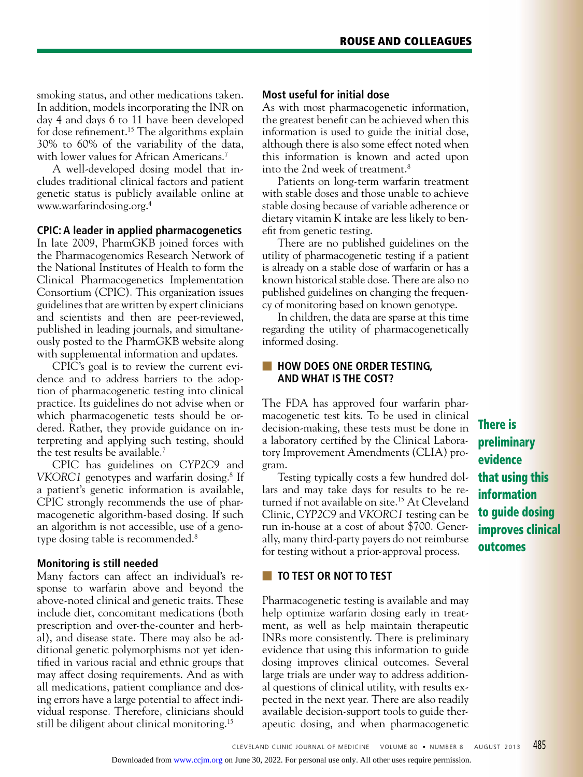smoking status, and other medications taken. In addition, models incorporating the INR on day 4 and days 6 to 11 have been developed for dose refinement.15 The algorithms explain 30% to 60% of the variability of the data, with lower values for African Americans.<sup>7</sup>

A well-developed dosing model that includes traditional clinical factors and patient genetic status is publicly available online at www.warfarindosing.org.4

#### **CPIC: A leader in applied pharmacogenetics**

In late 2009, PharmGKB joined forces with the Pharmacogenomics Research Network of the National Institutes of Health to form the Clinical Pharmacogenetics Implementation Consortium (CPIC). This organization issues guidelines that are written by expert clinicians and scientists and then are peer-reviewed, published in leading journals, and simultaneously posted to the PharmGKB website along with supplemental information and updates.

CPIC's goal is to review the current evidence and to address barriers to the adoption of pharmacogenetic testing into clinical practice. Its guidelines do not advise when or which pharmacogenetic tests should be ordered. Rather, they provide guidance on interpreting and applying such testing, should the test results be available.<sup>7</sup>

CPIC has guidelines on *CYP2C9* and *VKORC1* genotypes and warfarin dosing.8 If a patient's genetic information is available, CPIC strongly recommends the use of pharmacogenetic algorithm-based dosing. If such an algorithm is not accessible, use of a genotype dosing table is recommended.<sup>8</sup>

#### **Monitoring is still needed**

Many factors can affect an individual's response to warfarin above and beyond the above-noted clinical and genetic traits. These include diet, concomitant medications (both prescription and over-the-counter and herbal), and disease state. There may also be additional genetic polymorphisms not yet identified in various racial and ethnic groups that may affect dosing requirements. And as with all medications, patient compliance and dosing errors have a large potential to affect individual response. Therefore, clinicians should still be diligent about clinical monitoring.15

#### **Most useful for initial dose**

As with most pharmacogenetic information, the greatest benefit can be achieved when this information is used to guide the initial dose, although there is also some effect noted when this information is known and acted upon into the 2nd week of treatment.8

Patients on long-term warfarin treatment with stable doses and those unable to achieve stable dosing because of variable adherence or dietary vitamin K intake are less likely to benefit from genetic testing.

There are no published guidelines on the utility of pharmacogenetic testing if a patient is already on a stable dose of warfarin or has a known historical stable dose. There are also no published guidelines on changing the frequency of monitoring based on known genotype.

In children, the data are sparse at this time regarding the utility of pharmacogenetically informed dosing.

# ■ **How does one order testing, and what is the cost?**

The FDA has approved four warfarin pharmacogenetic test kits. To be used in clinical decision-making, these tests must be done in a laboratory certified by the Clinical Laboratory Improvement Amendments (CLIA) program.

Testing typically costs a few hundred dollars and may take days for results to be returned if not available on site.<sup>15</sup> At Cleveland Clinic, *CYP2C9* and *VKORC1* testing can be run in-house at a cost of about \$700. Generally, many third-party payers do not reimburse for testing without a prior-approval process.

# ■ **TO TEST OR NOT TO TEST**

Pharmacogenetic testing is available and may help optimize warfarin dosing early in treatment, as well as help maintain therapeutic INRs more consistently. There is preliminary evidence that using this information to guide dosing improves clinical outcomes. Several large trials are under way to address additional questions of clinical utility, with results expected in the next year. There are also readily available decision-support tools to guide therapeutic dosing, and when pharmacogenetic There is preliminary evidence that using this information to guide dosing improves clinical outcomes